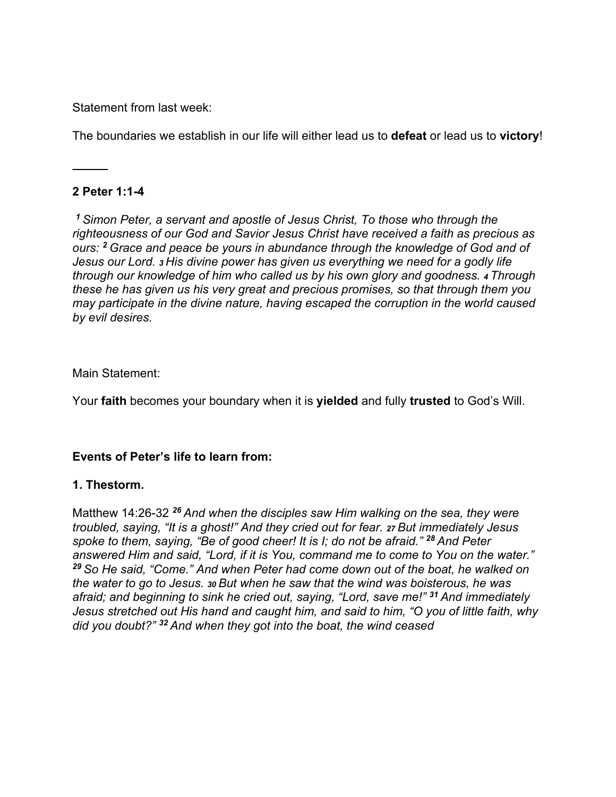Statement from last week:

The boundaries we establish in our life will either lead us to **defeat** or lead us to **victory**!

# **2 Peter 1:1-4**

*<sup>1</sup>Simon Peter, a servant and apostle of Jesus Christ, To those who through the righteousness of our God and Savior Jesus Christ have received a faith as precious as ours: <sup>2</sup>Grace and peace be yours in abundance through the knowledge of God and of Jesus our Lord. 3 His divine power has given us everything we need for a godly life through our knowledge of him who called us by his own glory and goodness. 4 Through these he has given us his very great and precious promises, so that through them you may participate in the divine nature, having escaped the corruption in the world caused by evil desires.* 

### Main Statement:

Your **faith** becomes your boundary when it is **yielded** and fully **trusted** to God's Will.

### **Events of Peter's life to learn from:**

### **1. Thestorm.**

Matthew 14:26-32 *<sup>26</sup>And when the disciples saw Him walking on the sea, they were troubled, saying, "It is a ghost!" And they cried out for fear. 27 But immediately Jesus spoke to them, saying, "Be of good cheer! It is I; do not be afraid." <sup>28</sup>And Peter answered Him and said, "Lord, if it is You, command me to come to You on the water." <sup>29</sup>So He said, "Come." And when Peter had come down out of the boat, he walked on the water to go to Jesus. 30 But when he saw that the wind was boisterous, he was afraid; and beginning to sink he cried out, saying, "Lord, save me!" <sup>31</sup>And immediately Jesus stretched out His hand and caught him, and said to him, "O you of little faith, why did you doubt?" 32 And when they got into the boat, the wind ceased*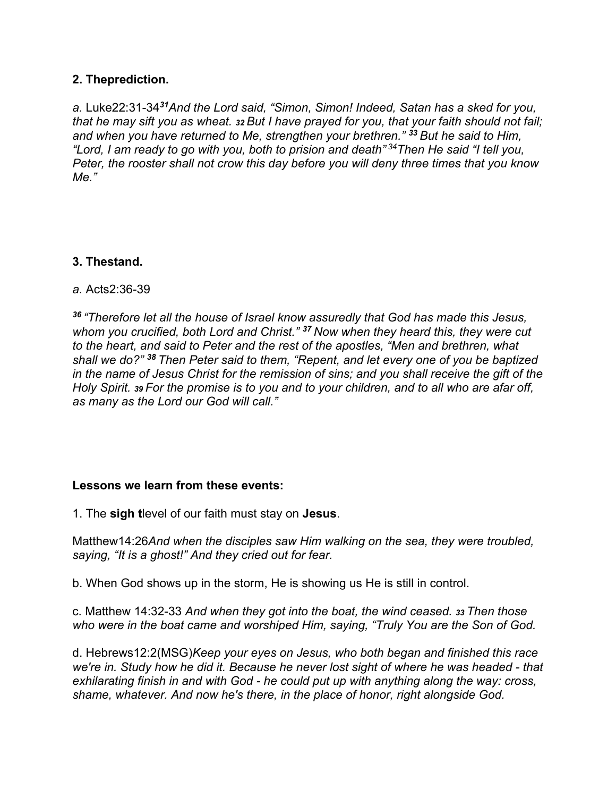# **2. Theprediction.**

*a.* Luke22:31-34*<sup>31</sup>And the Lord said, "Simon, Simon! Indeed, Satan has a sked for you, that he may sift you as wheat. 32 But I have prayed for you, that your faith should not fail; and when you have returned to Me, strengthen your brethren." <sup>33</sup>But he said to Him, "Lord, I am ready to go with you, both to prision and death" 34Then He said "I tell you, Peter, the rooster shall not crow this day before you will deny three times that you know Me."* 

# **3. Thestand.**

# *a.* Acts2:36-39

*<sup>36</sup>"Therefore let all the house of Israel know assuredly that God has made this Jesus, whom you crucified, both Lord and Christ." <sup>37</sup>Now when they heard this, they were cut to the heart, and said to Peter and the rest of the apostles, "Men and brethren, what shall we do?" <sup>38</sup>Then Peter said to them, "Repent, and let every one of you be baptized in the name of Jesus Christ for the remission of sins; and you shall receive the gift of the Holy Spirit. 39 For the promise is to you and to your children, and to all who are afar off, as many as the Lord our God will call."* 

### **Lessons we learn from these events:**

1. The **sigh t**level of our faith must stay on **Jesus**.

Matthew14:26*And when the disciples saw Him walking on the sea, they were troubled, saying, "It is a ghost!" And they cried out for fear.* 

b. When God shows up in the storm, He is showing us He is still in control.

c. Matthew 14:32-33 *And when they got into the boat, the wind ceased. 33 Then those who were in the boat came and worshiped Him, saying, "Truly You are the Son of God.* 

d. Hebrews12:2(MSG)*Keep your eyes on Jesus, who both began and finished this race we're in. Study how he did it. Because he never lost sight of where he was headed - that exhilarating finish in and with God - he could put up with anything along the way: cross, shame, whatever. And now he's there, in the place of honor, right alongside God.*